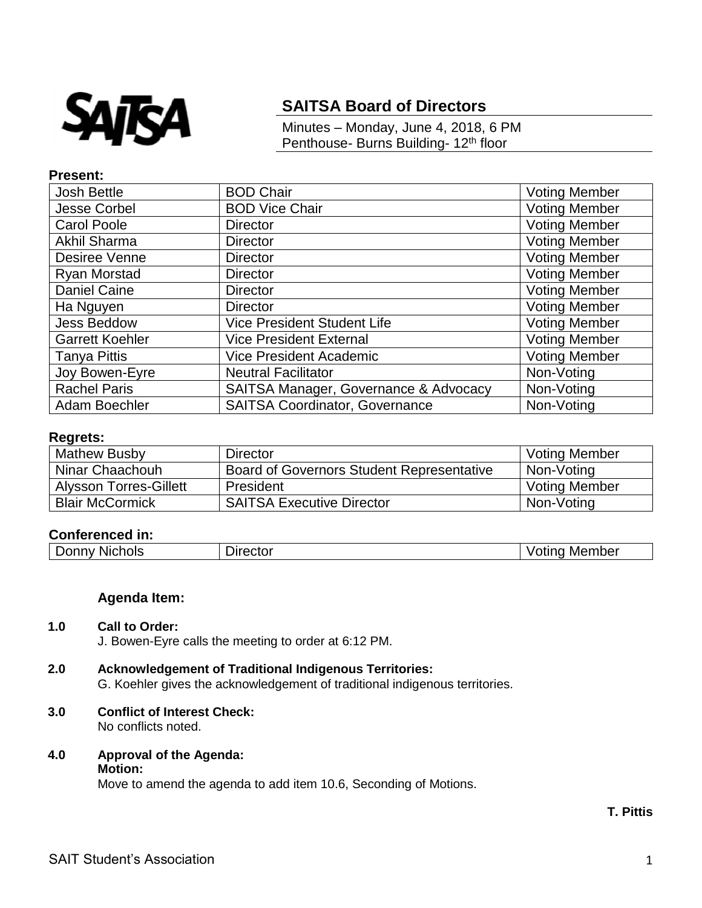

# **SAITSA Board of Directors**

Minutes – Monday, June 4, 2018, 6 PM Penthouse- Burns Building- 12<sup>th</sup> floor

#### **Present:**

| <b>Josh Bettle</b>     | <b>BOD Chair</b>                      | <b>Voting Member</b> |
|------------------------|---------------------------------------|----------------------|
| Jesse Corbel           | <b>BOD Vice Chair</b>                 | <b>Voting Member</b> |
| <b>Carol Poole</b>     | <b>Director</b>                       | <b>Voting Member</b> |
| <b>Akhil Sharma</b>    | <b>Director</b>                       | <b>Voting Member</b> |
| Desiree Venne          | <b>Director</b>                       | <b>Voting Member</b> |
| Ryan Morstad           | <b>Director</b>                       | <b>Voting Member</b> |
| Daniel Caine           | <b>Director</b>                       | <b>Voting Member</b> |
| Ha Nguyen              | <b>Director</b>                       | <b>Voting Member</b> |
| <b>Jess Beddow</b>     | <b>Vice President Student Life</b>    | <b>Voting Member</b> |
| <b>Garrett Koehler</b> | <b>Vice President External</b>        | <b>Voting Member</b> |
| <b>Tanya Pittis</b>    | <b>Vice President Academic</b>        | <b>Voting Member</b> |
| Joy Bowen-Eyre         | <b>Neutral Facilitator</b>            | Non-Voting           |
| <b>Rachel Paris</b>    | SAITSA Manager, Governance & Advocacy | Non-Voting           |
| Adam Boechler          | <b>SAITSA Coordinator, Governance</b> | Non-Voting           |

### **Regrets:**

| <b>Mathew Busby</b>           | Director                                         | <b>Voting Member</b> |
|-------------------------------|--------------------------------------------------|----------------------|
| Ninar Chaachouh               | <b>Board of Governors Student Representative</b> | Non-Voting           |
| <b>Alysson Torres-Gillett</b> | President                                        | <b>Voting Member</b> |
| <b>Blair McCormick</b>        | <b>SAITSA Executive Director</b>                 | Non-Voting           |

## **Conferenced in:**

| $\sim$<br>--<br>---<br>יור<br>"<br>NK | - -<br>11 <sup>r</sup><br>_____ | .<br>Mer<br>ωe<br>71<br>___ |
|---------------------------------------|---------------------------------|-----------------------------|
|                                       |                                 |                             |

#### **Agenda Item:**

#### **1.0 Call to Order:**

J. Bowen-Eyre calls the meeting to order at 6:12 PM.

# **2.0 Acknowledgement of Traditional Indigenous Territories:**

G. Koehler gives the acknowledgement of traditional indigenous territories.

#### **3.0 Conflict of Interest Check:** No conflicts noted.

#### **4.0 Approval of the Agenda: Motion:**

Move to amend the agenda to add item 10.6, Seconding of Motions.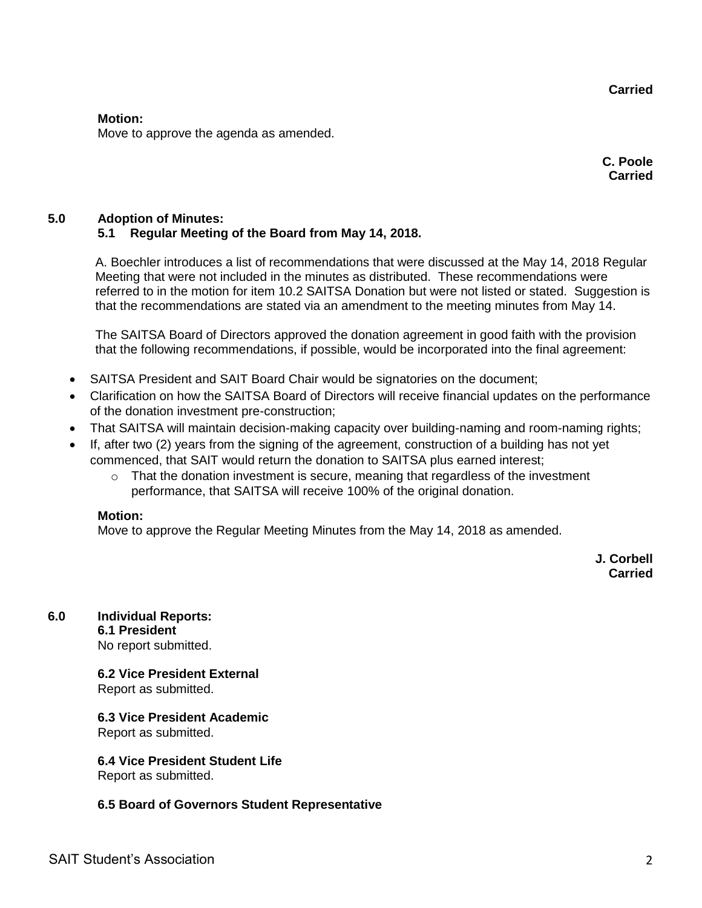**Carried**

#### **Motion:**

Move to approve the agenda as amended.

**C. Poole Carried**

# **5.0 Adoption of Minutes: 5.1 Regular Meeting of the Board from May 14, 2018.**

A. Boechler introduces a list of recommendations that were discussed at the May 14, 2018 Regular Meeting that were not included in the minutes as distributed. These recommendations were referred to in the motion for item 10.2 SAITSA Donation but were not listed or stated. Suggestion is that the recommendations are stated via an amendment to the meeting minutes from May 14.

The SAITSA Board of Directors approved the donation agreement in good faith with the provision that the following recommendations, if possible, would be incorporated into the final agreement:

- SAITSA President and SAIT Board Chair would be signatories on the document;
- Clarification on how the SAITSA Board of Directors will receive financial updates on the performance of the donation investment pre-construction;
- That SAITSA will maintain decision-making capacity over building-naming and room-naming rights;
- If, after two (2) years from the signing of the agreement, construction of a building has not yet commenced, that SAIT would return the donation to SAITSA plus earned interest;
	- $\circ$  That the donation investment is secure, meaning that regardless of the investment performance, that SAITSA will receive 100% of the original donation.

## **Motion:**

Move to approve the Regular Meeting Minutes from the May 14, 2018 as amended.

**J. Corbell Carried**

# **6.0 Individual Reports:**

**6.1 President**  No report submitted.

# **6.2 Vice President External**

Report as submitted.

# **6.3 Vice President Academic**

Report as submitted.

## **6.4 Vice President Student Life**

Report as submitted.

## **6.5 Board of Governors Student Representative**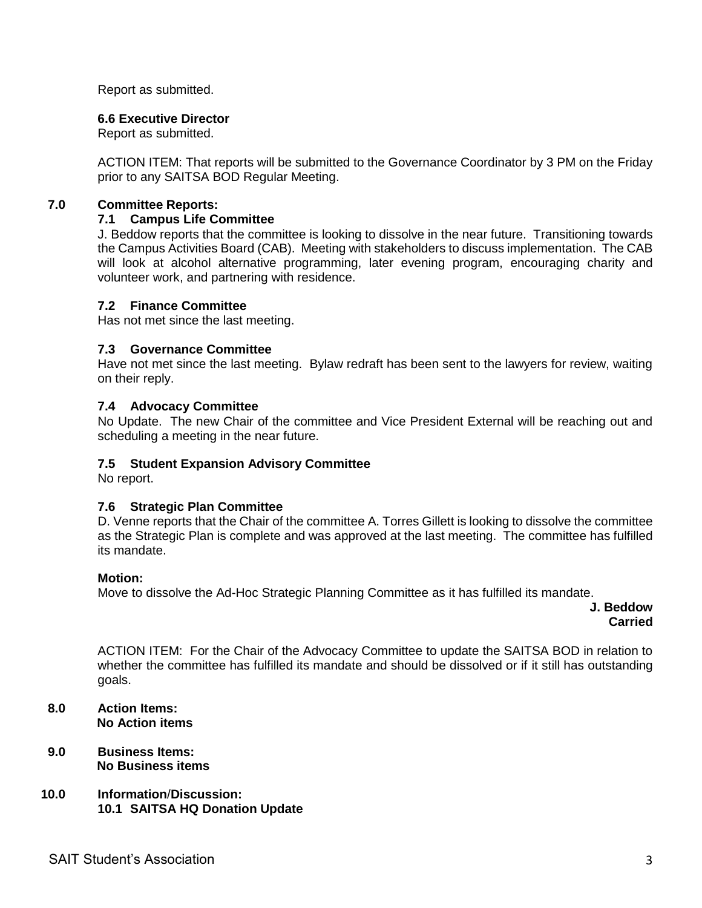Report as submitted.

## **6.6 Executive Director**

Report as submitted.

ACTION ITEM: That reports will be submitted to the Governance Coordinator by 3 PM on the Friday prior to any SAITSA BOD Regular Meeting.

## **7.0 Committee Reports:**

### **7.1 Campus Life Committee**

J. Beddow reports that the committee is looking to dissolve in the near future. Transitioning towards the Campus Activities Board (CAB). Meeting with stakeholders to discuss implementation. The CAB will look at alcohol alternative programming, later evening program, encouraging charity and volunteer work, and partnering with residence.

## **7.2 Finance Committee**

Has not met since the last meeting.

## **7.3 Governance Committee**

Have not met since the last meeting. Bylaw redraft has been sent to the lawyers for review, waiting on their reply.

## **7.4 Advocacy Committee**

No Update. The new Chair of the committee and Vice President External will be reaching out and scheduling a meeting in the near future.

## **7.5 Student Expansion Advisory Committee**

No report.

## **7.6 Strategic Plan Committee**

D. Venne reports that the Chair of the committee A. Torres Gillett is looking to dissolve the committee as the Strategic Plan is complete and was approved at the last meeting. The committee has fulfilled its mandate.

#### **Motion:**

Move to dissolve the Ad-Hoc Strategic Planning Committee as it has fulfilled its mandate.

**J. Beddow Carried** 

ACTION ITEM: For the Chair of the Advocacy Committee to update the SAITSA BOD in relation to whether the committee has fulfilled its mandate and should be dissolved or if it still has outstanding goals.

- **8.0 Action Items: No Action items**
- **9.0 Business Items: No Business items**
- **10.0 Information**/**Discussion: 10.1 SAITSA HQ Donation Update**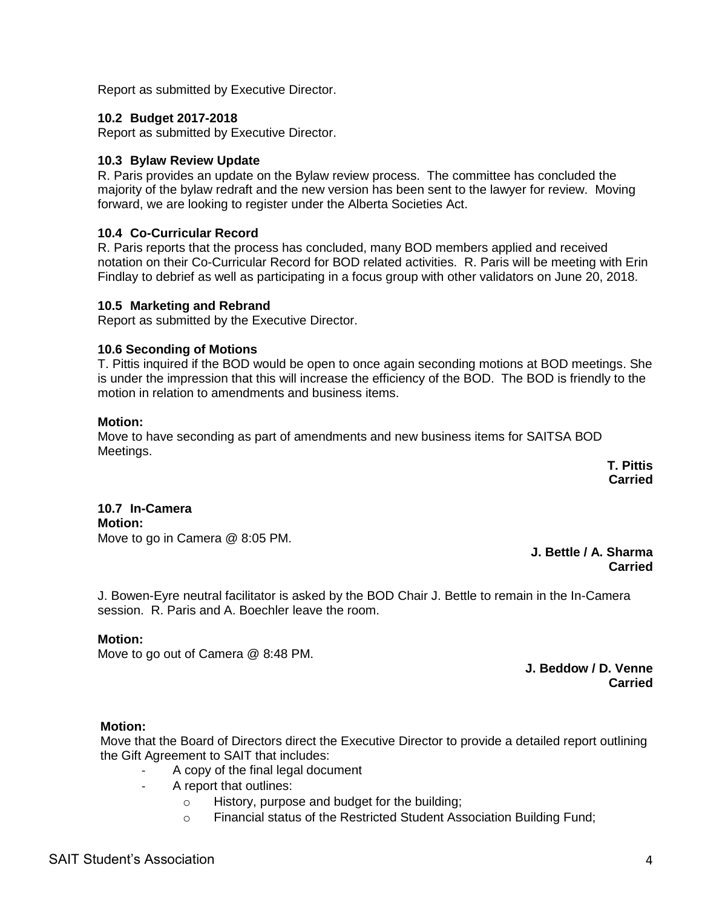Report as submitted by Executive Director.

# **10.2 Budget 2017-2018**

Report as submitted by Executive Director.

# **10.3 Bylaw Review Update**

R. Paris provides an update on the Bylaw review process. The committee has concluded the majority of the bylaw redraft and the new version has been sent to the lawyer for review. Moving forward, we are looking to register under the Alberta Societies Act.

# **10.4 Co-Curricular Record**

R. Paris reports that the process has concluded, many BOD members applied and received notation on their Co-Curricular Record for BOD related activities. R. Paris will be meeting with Erin Findlay to debrief as well as participating in a focus group with other validators on June 20, 2018.

## **10.5 Marketing and Rebrand**

Report as submitted by the Executive Director.

# **10.6 Seconding of Motions**

T. Pittis inquired if the BOD would be open to once again seconding motions at BOD meetings. She is under the impression that this will increase the efficiency of the BOD. The BOD is friendly to the motion in relation to amendments and business items.

## **Motion:**

Move to have seconding as part of amendments and new business items for SAITSA BOD Meetings.

**T. Pittis Carried**

#### **10.7 In-Camera Motion:** Move to go in Camera @ 8:05 PM.

**J. Bettle / A. Sharma Carried**

J. Bowen-Eyre neutral facilitator is asked by the BOD Chair J. Bettle to remain in the In-Camera session. R. Paris and A. Boechler leave the room.

# **Motion:**

Move to go out of Camera @ 8:48 PM.

**J. Beddow / D. Venne Carried**

# **Motion:**

Move that the Board of Directors direct the Executive Director to provide a detailed report outlining the Gift Agreement to SAIT that includes:

- A copy of the final legal document
- A report that outlines:
	- o History, purpose and budget for the building;
	- o Financial status of the Restricted Student Association Building Fund;